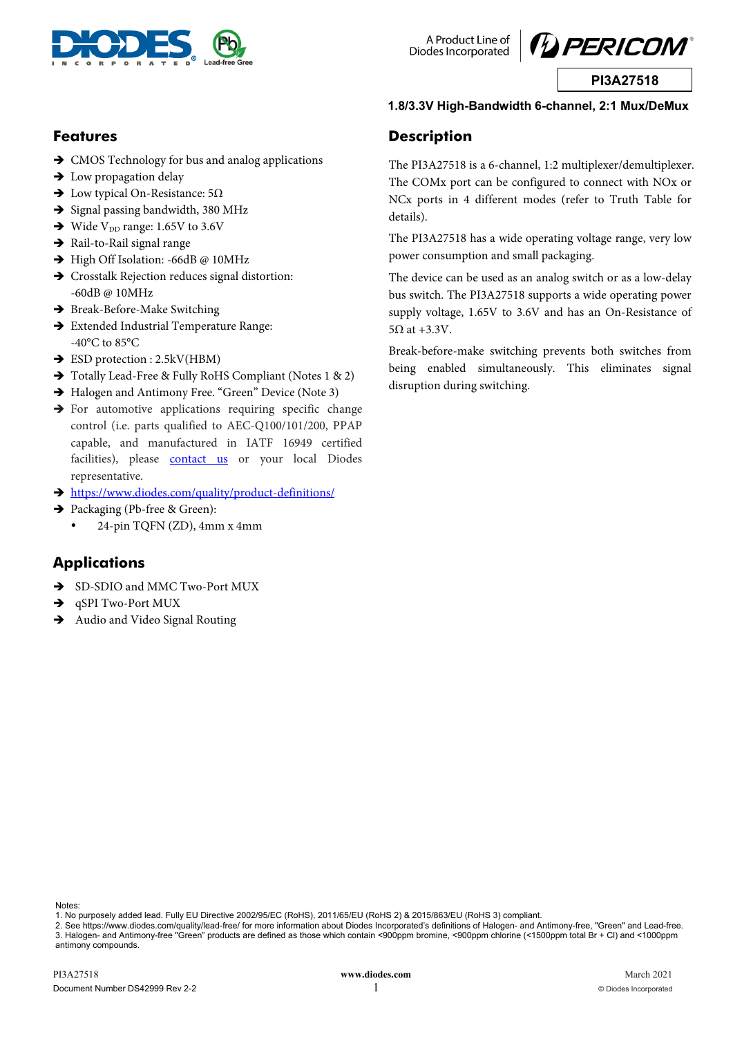

A Product Line of Diodes Incorporated

**Description** 

details).

 $5\Omega$  at +3.3V.

disruption during switching.



**PI3A27518** 

#### **1.8/3.3V High-Bandwidth 6-channel, 2:1 Mux/DeMux**

The PI3A27518 is a 6-channel, 1:2 multiplexer/demultiplexer. The COMx port can be configured to connect with NOx or NCx ports in 4 different modes (refer to Truth Table for

The PI3A27518 has a wide operating voltage range, very low

The device can be used as an analog switch or as a low-delay bus switch. The PI3A27518 supports a wide operating power supply voltage, 1.65V to 3.6V and has an On-Resistance of

Break-before-make switching prevents both switches from being enabled simultaneously. This eliminates signal

power consumption and small packaging.

### **Features**

- $\rightarrow$  CMOS Technology for bus and analog applications
- $\rightarrow$  Low propagation delay
- $\rightarrow$  Low typical On-Resistance: 5Ω
- $\rightarrow$  Signal passing bandwidth, 380 MHz
- $\rightarrow$  Wide V<sub>DD</sub> range: 1.65V to 3.6V
- $\rightarrow$  Rail-to-Rail signal range
- → High Off Isolation: -66dB @ 10MHz
- Crosstalk Rejection reduces signal distortion: -60dB @ 10MHz
- $\rightarrow$  Break-Before-Make Switching
- Extended Industrial Temperature Range: -40°C to 85°C
- $\rightarrow$  ESD protection : 2.5kV(HBM)
- $\rightarrow$  Totally Lead-Free & Fully RoHS Compliant (Notes 1 & 2)
- $\rightarrow$  Halogen and Antimony Free. "Green" Device (Note 3)
- $\rightarrow$  For automotive applications requiring specific change control (i.e. parts qualified to AEC-Q100/101/200, PPAP capable, and manufactured in IATF 16949 certified facilities), please **contact us** or your local Diodes representative.
- https://www.diodes.com/quality/product-definitions/
- → Packaging (Pb-free & Green):
	- 24-pin TQFN (ZD), 4mm x 4mm

### **Applications**

- $\rightarrow$  SD-SDIO and MMC Two-Port MUX
- → qSPI Two-Port MUX
- $\rightarrow$  Audio and Video Signal Routing

1. No purposely added lead. Fully EU Directive 2002/95/EC (RoHS), 2011/65/EU (RoHS 2) & 2015/863/EU (RoHS 3) compliant.

2. See https://www.diodes.com/quality/lead-free/ for more information about Diodes Incorporated's definitions of Halogen- and Antimony-free, "Green" and Lead-free.

#### 3. Halogen- and Antimony-free "Green" products are defined as those which contain <900ppm bromine, <900ppm chlorine (<1500ppm total Br + Cl) and <1000ppm antimony compounds.

Notes: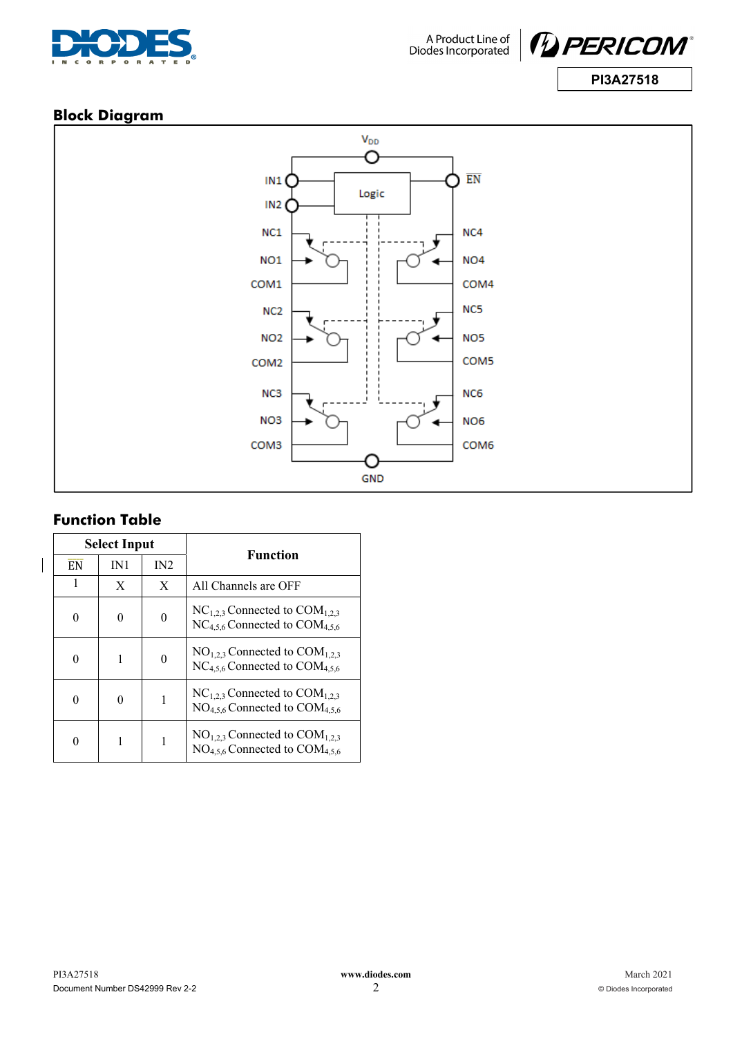



### **Block Diagram**



# **Function Table**

 $\overline{\phantom{a}}$ 

|           | <b>Select Input</b> |     | <b>Function</b>                                                                    |
|-----------|---------------------|-----|------------------------------------------------------------------------------------|
| <b>EN</b> | IN1                 | IN2 |                                                                                    |
|           | X                   | X   | All Channels are OFF                                                               |
| 0         |                     | 0   | $NC_{1,2,3}$ Connected to $COM_{1,2,3}$<br>$NC_{4.5.6}$ Connected to $COM_{4.5.6}$ |
|           |                     | 0   | $NO1.2.3$ Connected to $COM1.2.3$<br>$NC_{4.5.6}$ Connected to $COM_{4.5.6}$       |
|           |                     |     | $NC_{1,2,3}$ Connected to $COM_{1,2,3}$<br>$NO4.5.6$ Connected to $COM4.5.6$       |
|           |                     |     | $NO1.2.3$ Connected to $COM1.2.3$<br>$NO4.5.6$ Connected to $COM4.5.6$             |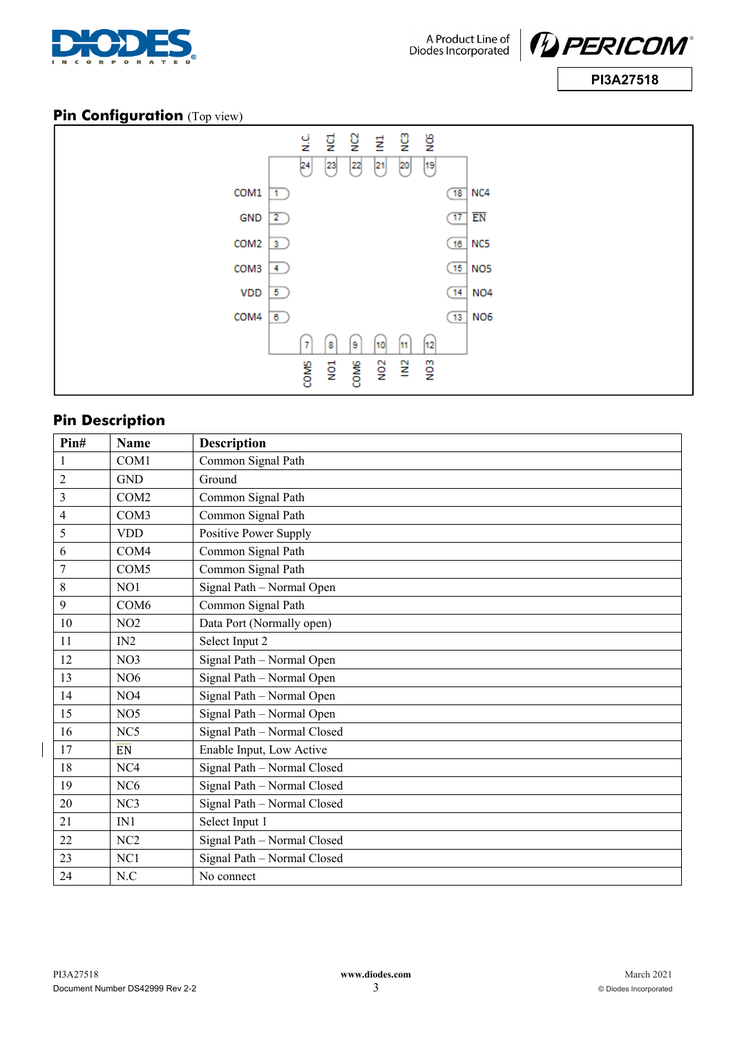



### **Pin Configuration** (Top view)



## **Pin Description**

| Pin#           | <b>Name</b>      | <b>Description</b>          |  |  |
|----------------|------------------|-----------------------------|--|--|
| 1              | COM <sub>1</sub> | Common Signal Path          |  |  |
| $\overline{2}$ | <b>GND</b>       | Ground                      |  |  |
| 3              | COM <sub>2</sub> | Common Signal Path          |  |  |
| 4              | COM <sub>3</sub> | Common Signal Path          |  |  |
| 5              | <b>VDD</b>       | Positive Power Supply       |  |  |
| 6              | COM4             | Common Signal Path          |  |  |
| 7              | COM <sub>5</sub> | Common Signal Path          |  |  |
| $8\,$          | NO1              | Signal Path - Normal Open   |  |  |
| 9              | COM <sub>6</sub> | Common Signal Path          |  |  |
| 10             | NO2              | Data Port (Normally open)   |  |  |
| 11             | IN2              | Select Input 2              |  |  |
| 12             | NO <sub>3</sub>  | Signal Path - Normal Open   |  |  |
| 13             | NO <sub>6</sub>  | Signal Path - Normal Open   |  |  |
| 14             | NO <sub>4</sub>  | Signal Path - Normal Open   |  |  |
| 15             | NO <sub>5</sub>  | Signal Path - Normal Open   |  |  |
| 16             | NC5              | Signal Path - Normal Closed |  |  |
| 17             | <b>EN</b>        | Enable Input, Low Active    |  |  |
| 18             | NC4              | Signal Path - Normal Closed |  |  |
| 19             | NC <sub>6</sub>  | Signal Path - Normal Closed |  |  |
| 20             | NC <sub>3</sub>  | Signal Path - Normal Closed |  |  |
| 21             | IN1              | Select Input 1              |  |  |
| 22             | NC2              | Signal Path - Normal Closed |  |  |
| 23             | NC1              | Signal Path - Normal Closed |  |  |
| 24             | N.C              | No connect                  |  |  |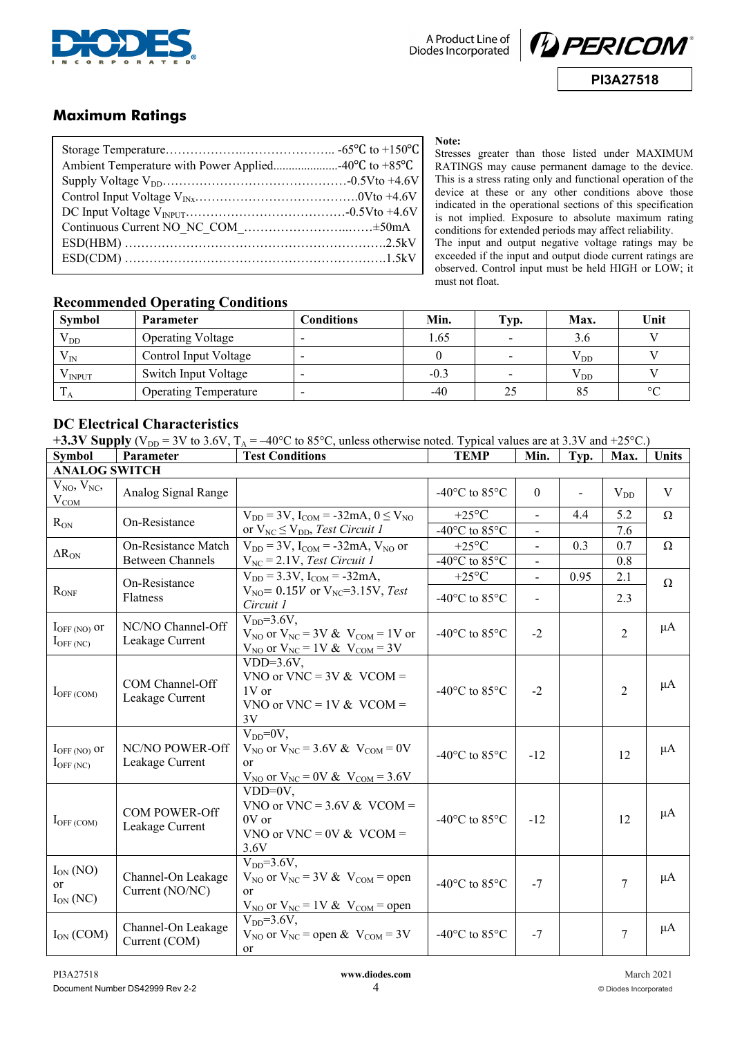



### **Maximum Ratings**

**Note:** 

Stresses greater than those listed under MAXIMUM RATINGS may cause permanent damage to the device. This is a stress rating only and functional operation of the device at these or any other conditions above those indicated in the operational sections of this specification is not implied. Exposure to absolute maximum rating conditions for extended periods may affect reliability. The input and output negative voltage ratings may be exceeded if the input and output diode current ratings are observed. Control input must be held HIGH or LOW; it must not float.

#### **Recommended Operating Conditions**

| Symbol       | Parameter                    | Conditions | Min.   | $\mathbf{Typ.}$ | Max.     | Unit    |
|--------------|------------------------------|------------|--------|-----------------|----------|---------|
| $\rm V_{DD}$ | <b>Operating Voltage</b>     |            | 1.65   |                 | 3.6      |         |
| $V_{IN}$     | Control Input Voltage        |            |        |                 | $V_{DD}$ |         |
| V INPUT      | Switch Input Voltage         |            | $-0.3$ | $\blacksquare$  | $V_{DD}$ |         |
| ΙA           | <b>Operating Temperature</b> |            | $-40$  |                 | 85       | $\circ$ |

### **DC Electrical Characteristics**

| +3.3V Supply ( $V_{DD}$ = 3V to 3.6V, $T_A$ = -40°C to 85°C, unless otherwise noted. Typical values are at 3.3V and +25°C.) |  |
|-----------------------------------------------------------------------------------------------------------------------------|--|
|-----------------------------------------------------------------------------------------------------------------------------|--|

| <b>Symbol</b>                                     | Parameter                                      | <b>Test Conditions</b>                                                                                                             | <b>TEMP</b>                                                   | Min.                   | Typ.                     | Max.           | <b>Units</b> |
|---------------------------------------------------|------------------------------------------------|------------------------------------------------------------------------------------------------------------------------------------|---------------------------------------------------------------|------------------------|--------------------------|----------------|--------------|
| <b>ANALOG SWITCH</b>                              |                                                |                                                                                                                                    |                                                               |                        |                          |                |              |
| $V_{NO}$ , $V_{NC}$ ,<br>$V_{COM}$                | Analog Signal Range                            |                                                                                                                                    | -40 $\rm{^{\circ}C}$ to 85 $\rm{^{\circ}C}$                   | $\theta$               | $\overline{\phantom{0}}$ | $V_{DD}$       | V            |
| $R_{ON}$                                          | On-Resistance                                  | $V_{DD} = 3V$ , $I_{COM} = -32mA$ , $0 \le V_{NO}$<br>or $V_{NC} \leq V_{DD}$ , Test Circuit 1                                     | $+25^{\circ}C$<br>-40 $^{\circ}$ C to 85 $^{\circ}$ C         | $\mathbf{r}$           | 4.4                      | 5.2<br>7.6     | $\Omega$     |
| $\Delta R_{ON}$                                   | On-Resistance Match<br><b>Between Channels</b> | $V_{DD} = 3V$ , $I_{COM} = -32mA$ , $V_{NO}$ or<br>$V_{NC} = 2.1V$ , Test Circuit 1                                                | $+25^{\circ}C$<br>-40 $^{\circ}$ C to 85 $^{\circ}$ C         | $\blacksquare$         | 0.3                      | 0.7<br>0.8     | $\Omega$     |
| $R_{ONF}$                                         | On-Resistance<br>Flatness                      | $V_{DD} = 3.3 V$ , $I_{COM} = -32 mA$ ,<br>$V_{NO} = 0.15V$ or $V_{NC} = 3.15V$ , Test                                             | $+25^{\circ}C$<br>-40 $\rm{^{\circ}C}$ to 85 $\rm{^{\circ}C}$ | $\mathbf{r}$<br>$\sim$ | 0.95                     | 2.1<br>2.3     | $\Omega$     |
| $I_{\text{OFF (NO)}}$ or<br>$I_{OFF(NC)}$         | NC/NO Channel-Off<br>Leakage Current           | Circuit 1<br>$VDD=3.6V$ ,<br>$V_{NO}$ or $V_{NC}$ = 3V & $V_{COM}$ = 1V or<br>$V_{NO}$ or $V_{NC} = 1V & V_{COM} = 3V$             | -40 $\rm{^{\circ}C}$ to 85 $\rm{^{\circ}C}$                   | $-2$                   |                          | $\overline{2}$ | $\mu A$      |
| $I_{OFF (COM)}$                                   | COM Channel-Off<br>Leakage Current             | $VDD=3.6V$ ,<br>VNO or VNC = $3V &$ VCOM =<br>1V or<br>VNO or VNC = $1V & VCOM =$<br>3V                                            | -40 $\rm{^{\circ}C}$ to 85 $\rm{^{\circ}C}$                   | $-2$                   |                          | $\overline{2}$ | $\mu$ A      |
| $I_{\text{OFF (NO)}}$ or<br>$I_{\text{OFF (NC)}}$ | NC/NO POWER-Off<br>Leakage Current             | $V_{DD} = 0V$ ,<br>$V_{NO}$ or $V_{NC} = 3.6 V & V_{COM} = 0 V$<br>$\alpha$<br>$V_{NO}$ or $V_{NC} = 0V$ & $V_{COM} = 3.6V$        | -40 $^{\circ}$ C to 85 $^{\circ}$ C                           | $-12$                  |                          | 12             | $\mu$ A      |
| $I_{OFF\ (COM)}$                                  | <b>COM POWER-Off</b><br>Leakage Current        | $VDD=0V$ ,<br>VNO or VNC = $3.6V$ & VCOM =<br>0V or<br>VNO or VNC = $0V & VCOM =$<br>3.6V                                          | -40 $\rm{^{\circ}C}$ to 85 $\rm{^{\circ}C}$                   | $-12$                  |                          | 12             | $\mu$ A      |
| $I_{ON} (NO)$<br><sub>or</sub><br>$I_{ON}$ (NC)   | Channel-On Leakage<br>Current (NO/NC)          | $V_{DD} = 3.6 V,$<br>$V_{NO}$ or $V_{NC}$ = 3V & $V_{COM}$ = open<br><sub>or</sub><br>$V_{NO}$ or $V_{NC}$ = 1V & $V_{COM}$ = open | -40 $^{\circ}$ C to 85 $^{\circ}$ C                           | $-7$                   |                          | $\tau$         | $\mu A$      |
| $I_{ON}$ (COM)                                    | Channel-On Leakage<br>Current (COM)            | $V_{DD} = 3.6 V,$<br>$V_{NO}$ or $V_{NC}$ = open & $V_{COM}$ = 3V<br><sub>or</sub>                                                 | -40 $^{\circ}$ C to 85 $^{\circ}$ C                           | $-7$                   |                          | $\tau$         | $\mu$ A      |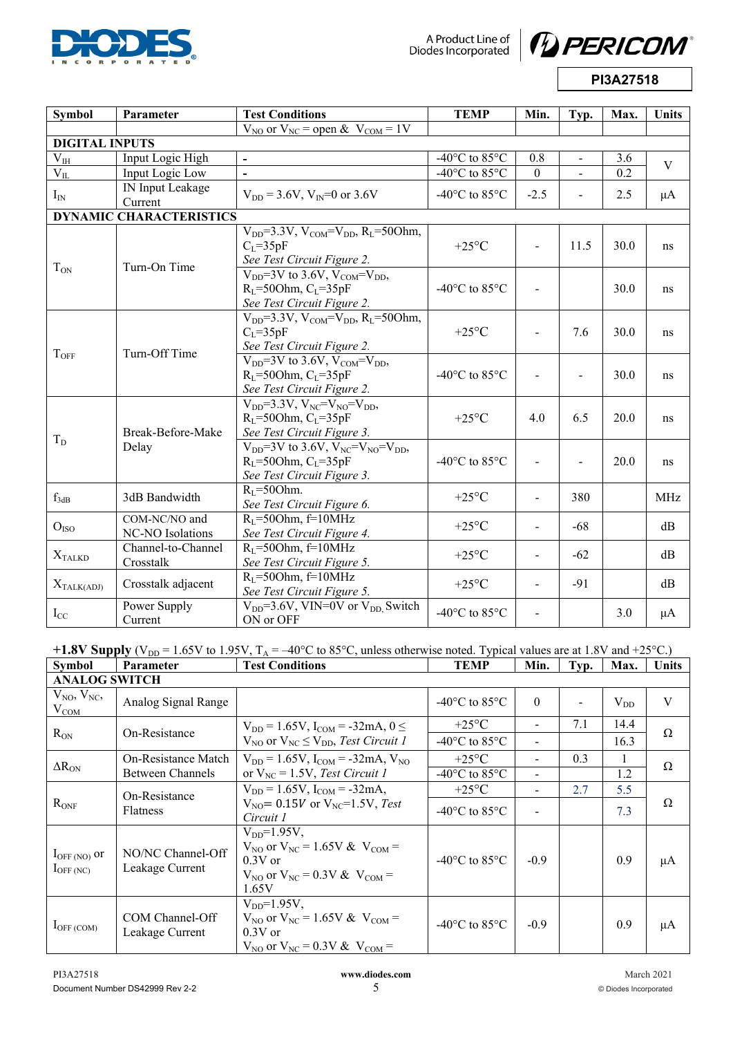

A Product Line of<br>Diodes Incorporated



**PI3A27518** 

| <b>Symbol</b>               | Parameter                         | <b>Test Conditions</b>                                                                                                        | <b>TEMP</b>                                 | Min.                     | Typ.           | Max. | Units        |
|-----------------------------|-----------------------------------|-------------------------------------------------------------------------------------------------------------------------------|---------------------------------------------|--------------------------|----------------|------|--------------|
|                             |                                   | $\overline{V_{NO}$ or $\overline{V}_{NC}}$ = open & $V_{COM}$ = 1V                                                            |                                             |                          |                |      |              |
| <b>DIGITAL INPUTS</b>       |                                   |                                                                                                                               |                                             |                          |                |      |              |
| $\rm V_{IH}$                | Input Logic High                  | $\blacksquare$                                                                                                                | -40 $^{\circ}$ C to 85 $^{\circ}$ C         | 0.8                      | $\sim$         | 3.6  | $\mathbf{V}$ |
| $V_{IL}$                    | Input Logic Low                   | $\overline{a}$                                                                                                                | -40 $^{\circ}$ C to 85 $^{\circ}$ C         | $\Omega$                 |                | 0.2  |              |
| $I_{IN}$                    | IN Input Leakage<br>Current       | $V_{DD} = 3.6V$ , $V_{IN} = 0$ or 3.6V                                                                                        | -40 $\rm{^{\circ}C}$ to 85 $\rm{^{\circ}C}$ | $-2.5$                   |                | 2.5  | $\mu$ A      |
|                             | <b>DYNAMIC CHARACTERISTICS</b>    |                                                                                                                               |                                             |                          |                |      |              |
|                             |                                   | $V_{DD} = 3.3 V$ , $V_{COM} = V_{DD}$ , $R_L = 500$ hm,<br>$C_L = 35pF$<br>See Test Circuit Figure 2.                         | $+25^{\circ}$ C                             | $\overline{\phantom{a}}$ | 11.5           | 30.0 | ns           |
| $T_{ON}$                    | Turn-On Time                      | $V_{DD}$ =3V to 3.6V, $V_{COM}$ =V <sub>DD</sub> ,<br>$R_l$ =500hm, $C_l$ =35pF<br>See Test Circuit Figure 2.                 | -40 $^{\circ}$ C to 85 $^{\circ}$ C         | $\overline{a}$           |                | 30.0 | ns           |
| $T_{OFF}$                   | Turn-Off Time                     | $V_{DD} = 3.3 V$ , $V_{COM} = V_{DD}$ , $R_L = 500$ hm,<br>$C_{L} = 35pF$<br>See Test Circuit Figure 2.                       | $+25^{\circ}$ C                             |                          | 7.6            | 30.0 | ns           |
|                             |                                   | $V_{DD}$ =3V to 3.6V, $V_{COM}$ = $V_{DD}$ ,<br>$R_L$ =500hm, $C_L$ =35pF<br>See Test Circuit Figure 2.                       | -40 $\rm{^{\circ}C}$ to 85 $\rm{^{\circ}C}$ |                          |                | 30.0 | ns           |
| $T_D$                       | Break-Before-Make                 | $V_{DD} = 3.3 V$ , $V_{NC} = V_{NO} = V_{DD}$ ,<br>$R_I$ =500hm, $C_I$ =35pF<br>See Test Circuit Figure 3.                    | $+25^{\circ}$ C                             | 4.0                      | 6.5            | 20.0 | ns           |
|                             | Delay                             | $V_{DD}$ =3V to 3.6V, $V_{NC}$ =V <sub>NO</sub> =V <sub>DD</sub> ,<br>$R_I$ =500hm, $C_I$ =35pF<br>See Test Circuit Figure 3. | -40 $^{\circ}$ C to 85 $^{\circ}$ C         |                          | $\blacksquare$ | 20.0 | ns           |
| $f_{3dB}$                   | 3dB Bandwidth                     | $RI=50Ohm.$<br>See Test Circuit Figure 6.                                                                                     | $+25^{\circ}$ C                             |                          | 380            |      | <b>MHz</b>   |
| O <sub>ISO</sub>            | COM-NC/NO and<br>NC-NO Isolations | $R_1 = 500$ hm, f=10MHz<br>See Test Circuit Figure 4.                                                                         | $+25^{\circ}C$                              |                          | $-68$          |      | dB           |
| $\mathbf{X}_{\text{TALKD}}$ | Channel-to-Channel<br>Crosstalk   | $R_1 = 500$ hm, f=10MHz<br>See Test Circuit Figure 5.                                                                         | $+25^{\circ}C$                              |                          | $-62$          |      | dB           |
| $X_{\text{TALK(ADI)}}$      | Crosstalk adjacent                | $R_1 = 500$ hm, f=10MHz<br>See Test Circuit Figure 5.                                                                         | $+25^{\circ}$ C                             |                          | $-91$          |      | dB           |
| $I_{CC}$                    | Power Supply<br>Current           | $V_{DD} = 3.6V$ , VIN=0V or $V_{DD}$ Switch<br>ON or OFF                                                                      | -40 $\rm{^{\circ}C}$ to 85 $\rm{^{\circ}C}$ |                          |                | 3.0  | $\mu A$      |

+1.8V Supply ( $V_{DD}$  = 1.65V to 1.95V,  $T_A$  = -40°C to 85°C, unless otherwise noted. Typical values are at 1.8V and +25°C.)

| <b>Symbol</b>                                   | <b>Parameter</b>                     | <b>Test Conditions</b>                                                                                                            | <b>TEMP</b>                        | Min.                     | Typ. | Max.     | Units |  |
|-------------------------------------------------|--------------------------------------|-----------------------------------------------------------------------------------------------------------------------------------|------------------------------------|--------------------------|------|----------|-------|--|
| <b>ANALOG SWITCH</b>                            |                                      |                                                                                                                                   |                                    |                          |      |          |       |  |
| $V_{NO}$ , $V_{NC}$ ,<br>$V_{COM}$              | Analog Signal Range                  |                                                                                                                                   | $-40^{\circ}$ C to 85 $^{\circ}$ C | $\theta$                 |      | $V_{DD}$ | V     |  |
| $R_{ON}$                                        | On-Resistance                        | $V_{DD} = 1.65V$ , $I_{COM} = -32mA$ , $0 \le$                                                                                    | $+25$ °C                           |                          | 7.1  | 14.4     | Ω     |  |
|                                                 |                                      | $V_{NO}$ or $V_{NC} \leq V_{DD}$ , Test Circuit 1                                                                                 | $-40^{\circ}$ C to 85 $^{\circ}$ C | $\overline{\phantom{a}}$ |      | 16.3     |       |  |
| $\Delta R_{ON}$                                 | On-Resistance Match                  | $V_{DD} = 1.65V$ , $I_{COM} = -32mA$ , $V_{NO}$                                                                                   | $+25$ °C                           |                          | 0.3  |          | Ω     |  |
| <b>Between Channels</b>                         |                                      | or $V_{NC} = 1.5V$ , Test Circuit 1                                                                                               | $-40^{\circ}$ C to 85 $^{\circ}$ C |                          |      | 1.2      |       |  |
|                                                 | On-Resistance                        | $V_{DD} = 1.65V$ , $I_{COM} = -32mA$ ,                                                                                            | $+25$ °C                           | $\overline{\phantom{a}}$ | 2.7  | 5.5      |       |  |
| $R_{ONF}$<br><b>Flatness</b>                    |                                      | $V_{\text{NO}} = 0.15V$ or $V_{\text{NC}} = 1.5V$ , Test<br>Circuit 1                                                             | $-40^{\circ}$ C to 85 $^{\circ}$ C |                          |      | 7.3      | Ω     |  |
| $I_{\text{OFF (NO)}}$ or<br>$I_{\rm OFF\,(NC)}$ | NO/NC Channel-Off<br>Leakage Current | $V_{DD} = 1.95V$ ,<br>$V_{NO}$ or $V_{NC} = 1.65V \& V_{COM} =$<br>$0.3V$ or<br>$V_{NO}$ or $V_{NC} = 0.3 V & V_{COM} =$<br>1.65V | $-40^{\circ}$ C to 85 $^{\circ}$ C | $-0.9$                   |      | 0.9      | μA    |  |
| $I_{\rm OFF\,(COM)}$                            | COM Channel-Off<br>Leakage Current   | $V_{DD} = 1.95V$ ,<br>$V_{NO}$ or $V_{NC} = 1.65V \& V_{COM} =$<br>$0.3V$ or<br>$V_{NO}$ or $V_{NC} = 0.3V \& V_{COM} =$          | $-40^{\circ}$ C to 85 $^{\circ}$ C | $-0.9$                   |      | 0.9      | μA    |  |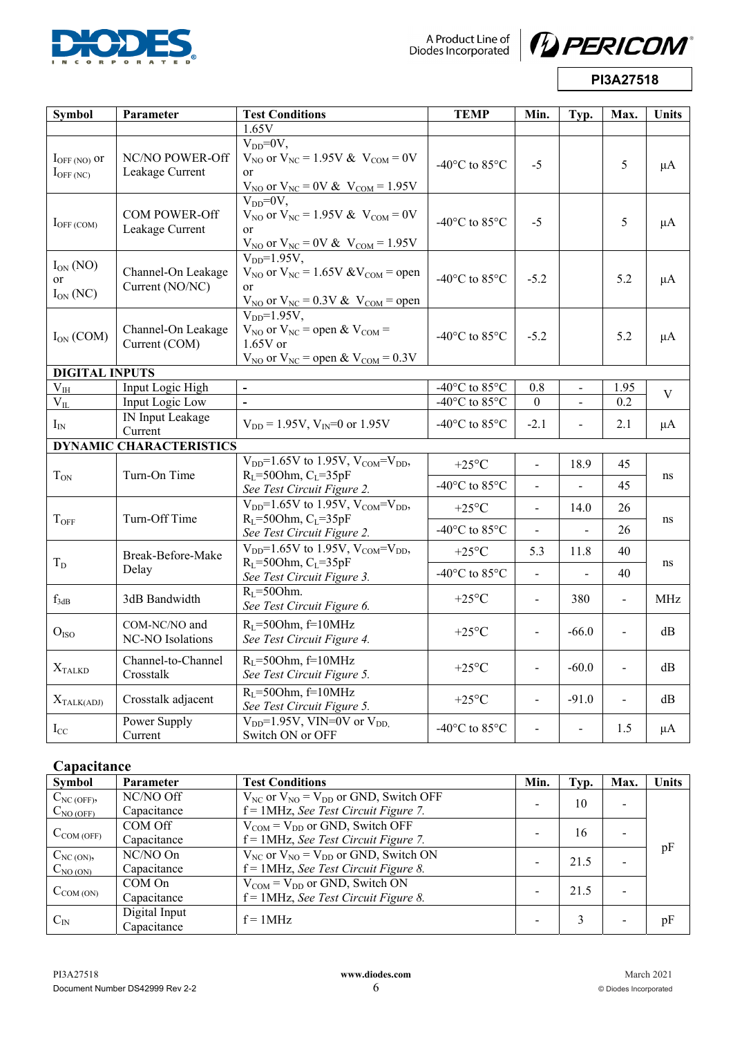

A Product Line of<br>Diodes Incorporated



**PI3A27518** 

| <b>Symbol</b>                                   | Parameter                                | <b>Test Conditions</b>                                                                                                                                | <b>TEMP</b>                                                | Min.           | Typ.           | Max.                     | <b>Units</b> |  |
|-------------------------------------------------|------------------------------------------|-------------------------------------------------------------------------------------------------------------------------------------------------------|------------------------------------------------------------|----------------|----------------|--------------------------|--------------|--|
|                                                 |                                          | 1.65V                                                                                                                                                 |                                                            |                |                |                          |              |  |
| $I_{\text{OFF (NO)}}$ or<br>$I_{\rm OFF\,(NC)}$ | NC/NO POWER-Off<br>Leakage Current       | $V_{DD} = 0V$ ,<br>$V_{NO}$ or $V_{NC} = 1.95V \& V_{COM} = 0V$<br><sub>or</sub><br>$V_{NO}$ or $V_{NC} = 0V & V_{COM} = 1.95V$                       | -40 $^{\circ}$ C to 85 $^{\circ}$ C                        | $-5$           |                | 5                        | $\mu A$      |  |
| $I_{OFF\ (COM)}$                                | <b>COM POWER-Off</b><br>Leakage Current  | $V_{DD} = 0V$ .<br>$V_{NO}$ or $V_{NC} = 1.95V \& V_{COM} = 0V$<br><sub>or</sub><br>$V_{\text{NO}}$ or $V_{\text{NC}} = 0V \& V_{\text{COM}} = 1.95V$ | $-40^{\circ}$ C to 85 $^{\circ}$ C                         | $-5$           |                | 5                        | $\mu A$      |  |
| $I_{ON} (NO)$<br><sub>or</sub><br>$I_{ON}$ (NC) | Channel-On Leakage<br>Current (NO/NC)    | $V_{DD} = 1.95V$ ,<br>$V_{NO}$ or $V_{NC}$ = 1.65V & $V_{COM}$ = open<br><sub>or</sub><br>$V_{NO}$ or $V_{NC} = 0.3V$ & $V_{COM} =$ open              | -40 $^{\circ}$ C to 85 $^{\circ}$ C                        | $-5.2$         |                | 5.2                      | $\mu A$      |  |
| $I_{ON}$ (COM)                                  | Channel-On Leakage<br>Current (COM)      | $VDD=1.95V$ ,<br>$V_{NO}$ or $V_{NC}$ = open & $V_{COM}$ =<br>$1.65V$ or<br>$V_{NO}$ or $V_{NC}$ = open & $V_{COM}$ = 0.3V                            | -40 $\rm{^{\circ}C}$ to 85 $\rm{^{\circ}C}$                | $-5.2$         |                | 5.2                      | $\mu A$      |  |
| <b>DIGITAL INPUTS</b>                           |                                          |                                                                                                                                                       |                                                            |                |                |                          |              |  |
| $\rm V_{IH}$                                    | Input Logic High                         | $\frac{1}{2}$                                                                                                                                         | -40 $^{\circ}$ C to 85 $^{\circ}$ C                        | 0.8            |                | 1.95                     | $\mathbf V$  |  |
| $V_{IL}$                                        | Input Logic Low                          |                                                                                                                                                       | -40 $^{\circ}$ C to 85 $^{\circ}$ C                        | $\mathbf{0}$   |                | 0.2                      |              |  |
| $I_{IN}$                                        | IN Input Leakage<br>Current              | $V_{DD} = 1.95V$ , $V_{IN} = 0$ or 1.95V                                                                                                              | -40 $^{\circ}$ C to 85 $^{\circ}$ C                        | $-2.1$         |                | 2.1                      | $\mu A$      |  |
|                                                 | <b>DYNAMIC CHARACTERISTICS</b>           |                                                                                                                                                       |                                                            |                |                |                          |              |  |
| $T_{ON}$                                        | Turn-On Time                             | $\overline{V_{DD}}$ =1.65V to 1.95V, V <sub>COM</sub> =V <sub>DD</sub> ,<br>$RL=50Ohm, CL=35pF$                                                       | +25 $\rm ^{\circ}C$<br>-40 $^{\circ}$ C to 85 $^{\circ}$ C | $\overline{a}$ | 18.9           | 45<br>45                 | ns           |  |
|                                                 |                                          | See Test Circuit Figure 2.                                                                                                                            |                                                            |                |                |                          |              |  |
| $T_{OFF}$                                       | Turn-Off Time                            | $V_{DD}$ =1.65V to 1.95V, $V_{COM}$ = $V_{DD}$ ,<br>$R_L$ =500hm, $C_L$ =35pF                                                                         | +25 $\mathrm{^{\circ}C}$                                   | $\blacksquare$ | 14.0           | 26                       | ns           |  |
|                                                 |                                          | See Test Circuit Figure 2.                                                                                                                            | -40 $^{\circ}$ C to 85 $^{\circ}$ C                        |                |                | 26                       |              |  |
| $T_D$                                           | Break-Before-Make                        | $V_{DD}$ =1.65V to 1.95V, V <sub>COM</sub> =V <sub>DD</sub> ,<br>$RL=50Ohm, CL=35pF$                                                                  | +25 $\mathrm{^{\circ}C}$                                   | 5.3            | 11.8           | 40                       | ns           |  |
|                                                 | Delay                                    | See Test Circuit Figure 3.                                                                                                                            | -40°C to 85°C                                              |                |                | 40                       |              |  |
| $f_{3dB}$                                       | 3dB Bandwidth                            | $RL=50Ohm.$<br>See Test Circuit Figure 6.                                                                                                             | $+25^{\circ}C$                                             | $\blacksquare$ | 380            | $\overline{a}$           | <b>MHz</b>   |  |
| O <sub>ISO</sub>                                | COM-NC/NO and<br><b>NC-NO Isolations</b> | $R_I = 500$ hm, f=10MHz<br>See Test Circuit Figure 4.                                                                                                 | $+25^{\circ}C$                                             |                | $-66.0$        | $\blacksquare$           | dB           |  |
| $X_{\text{TALKD}}$                              | Channel-to-Channel<br>Crosstalk          | $RL=50Ohm$ , f=10MHz<br>See Test Circuit Figure 5.                                                                                                    | $+25^{\circ}C$                                             | $\overline{a}$ | $-60.0$        | $\blacksquare$           | dB           |  |
| $X_{\text{TALK(ADJ)}}$                          | Crosstalk adjacent                       | $R_I = 500$ hm, f=10MHz<br>See Test Circuit Figure 5.                                                                                                 | $+25^{\circ}C$                                             | $\overline{a}$ | $-91.0$        | $\overline{\phantom{a}}$ | dB           |  |
| $I_{CC}$                                        | Power Supply<br>Current                  | $V_{DD}$ =1.95V, VIN=0V or $V_{DD}$ .<br>Switch ON or OFF                                                                                             | -40 $^{\circ}$ C to 85 $^{\circ}$ C                        |                | $\overline{a}$ | 1.5                      | $\mu A$      |  |

### **Capacitance**

| <b>Symbol</b>  | Parameter     | <b>Test Conditions</b>                           | Min. | Typ. | Max. | <b>Units</b> |
|----------------|---------------|--------------------------------------------------|------|------|------|--------------|
| $C_{NC(OFF)}$  | NC/NO Off     | $V_{NC}$ or $V_{NO} = V_{DD}$ or GND, Switch OFF |      | 10   |      |              |
| $C_{NO (OFF)}$ | Capacitance   | $f = 1$ MHz, See Test Circuit Figure 7.          |      |      |      |              |
|                | COM Off       | $V_{COM} = V_{DD}$ or GND, Switch OFF            |      | 16   |      |              |
| $C_{COM(OFF)}$ | Capacitance   | $f = 1$ MHz, See Test Circuit Figure 7.          |      |      |      |              |
| $C_{NC(ON)}$   | NC/NO On      | $V_{NC}$ or $V_{NO} = V_{DD}$ or GND, Switch ON  |      | 21.5 |      | pF           |
| $C_{NO (ON)}$  | Capacitance   | $f = 1$ MHz, See Test Circuit Figure 8.          |      |      |      |              |
|                | COM On        | $V_{COM} = V_{DD}$ or GND, Switch ON             |      | 21.5 |      |              |
| $C_{COM (ON)}$ | Capacitance   | $f = 1$ MHz, See Test Circuit Figure 8.          |      |      |      |              |
|                | Digital Input | $f = 1MHz$                                       |      |      |      |              |
| $C_{IN}$       | Capacitance   |                                                  |      | 3    |      | pF           |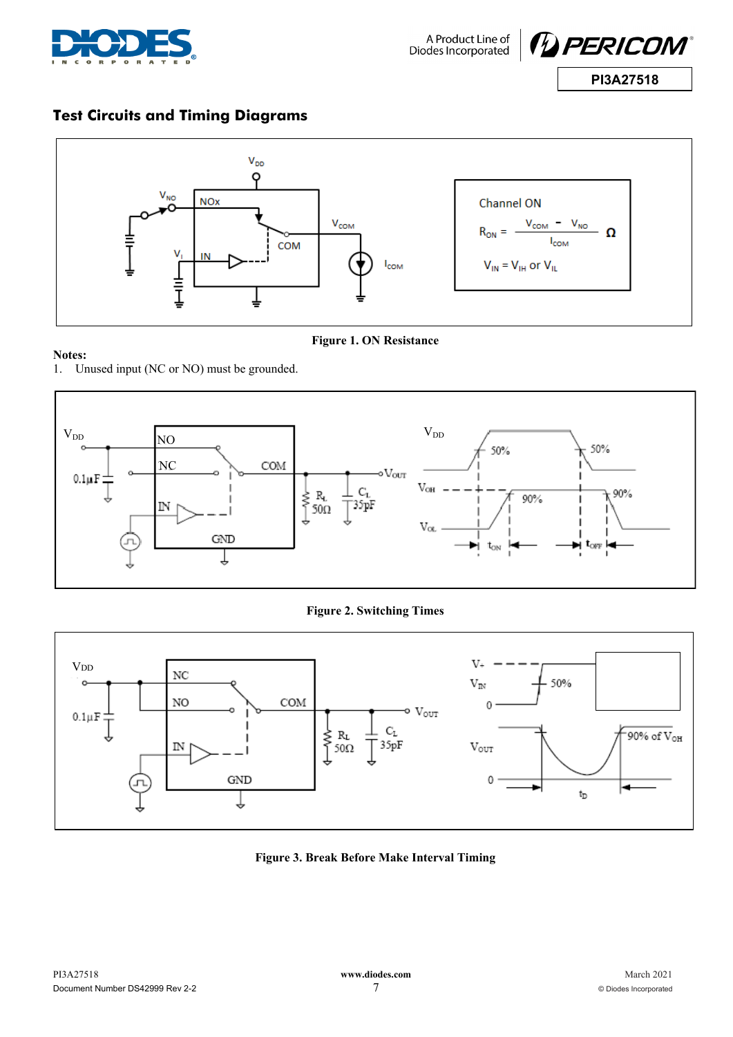



# **Test Circuits and Timing Diagrams**



### **Notes:**

**Figure 1. ON Resistance** 

1. Unused input (NC or NO) must be grounded.



**Figure 2. Switching Times** 



**Figure 3. Break Before Make Interval Timing**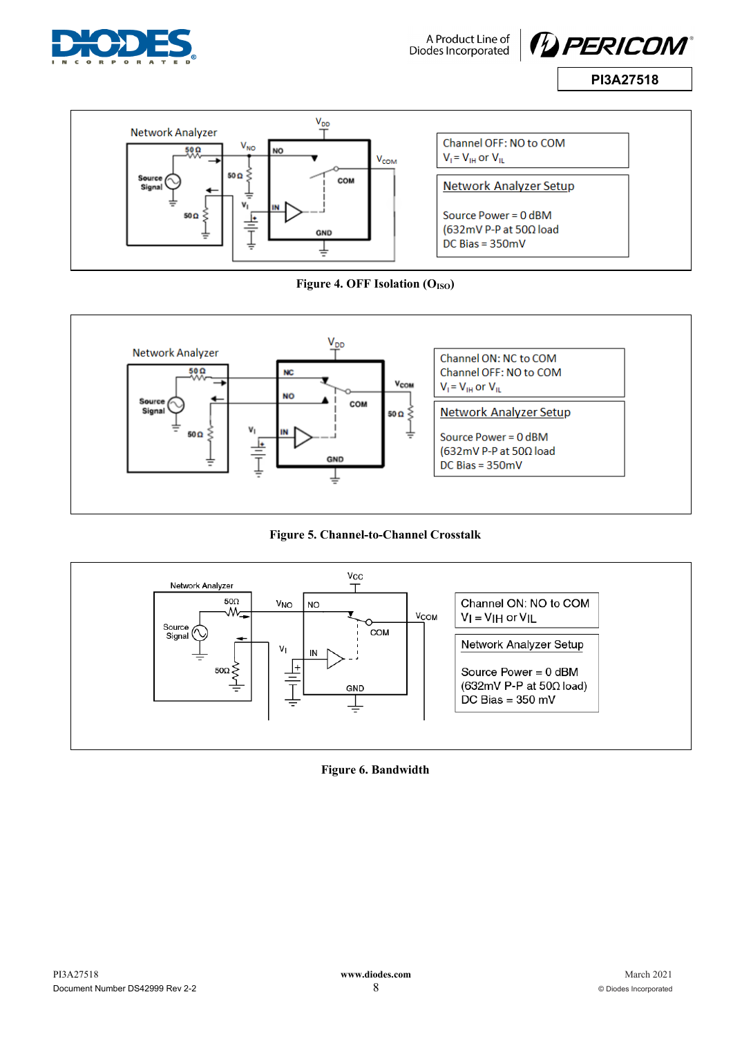

A Product Line of<br>Diodes Incorporated









**Figure 5. Channel-to-Channel Crosstalk** 



**Figure 6. Bandwidth**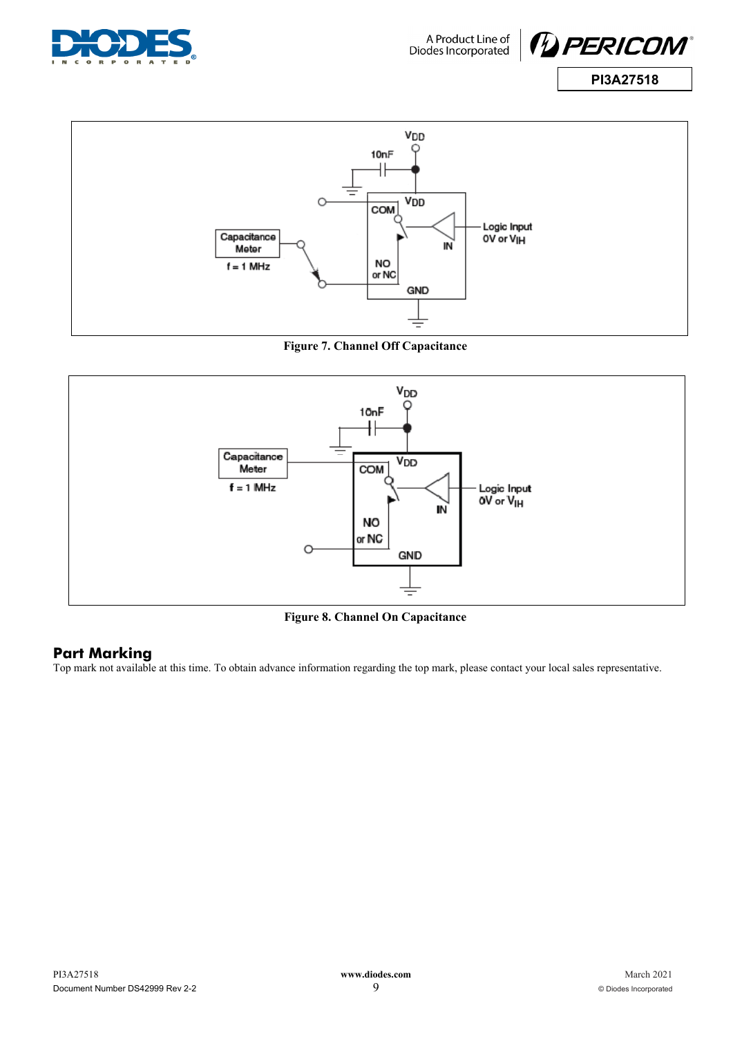





**Figure 7. Channel Off Capacitance** 



**Figure 8. Channel On Capacitance** 

### **Part Marking**

Top mark not available at this time. To obtain advance information regarding the top mark, please contact your local sales representative.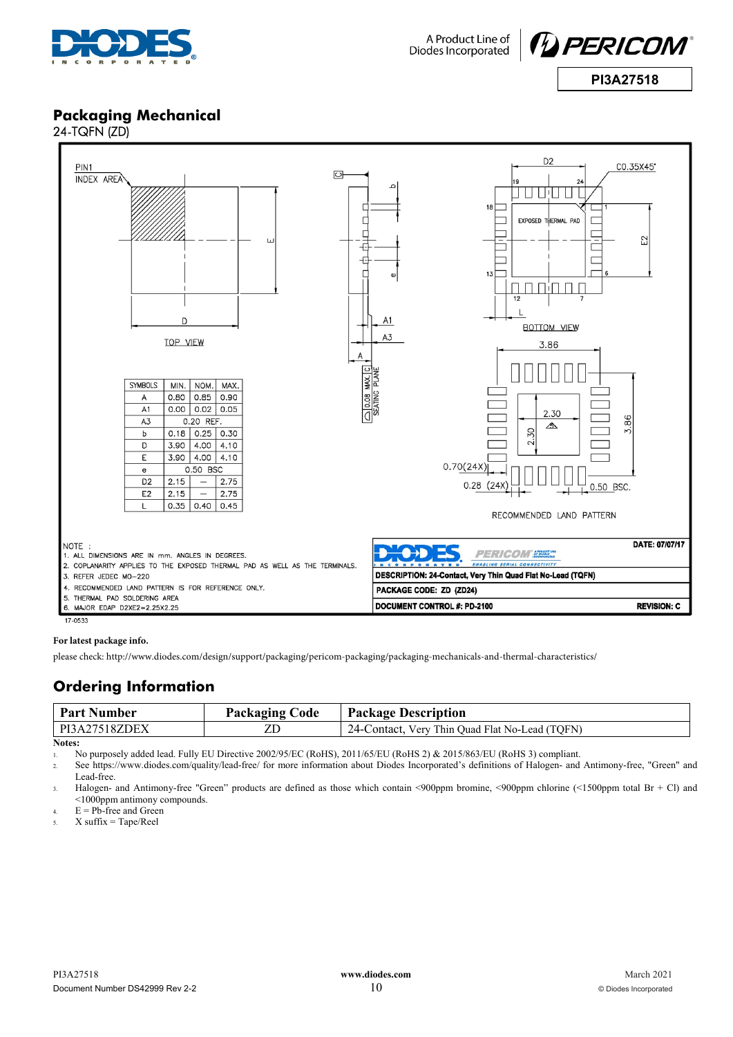



### **Packaging Mechanical**  24-TQFN (ZD)



 $17.0533$ 

#### **For latest package info.**

please check: http://www.diodes.com/design/support/packaging/pericom-packaging/packaging-mechanicals-and-thermal-characteristics/

### **Ordering Information**

| <b>Part Number</b> | <b>Packaging Code</b> | <b>Package Description</b>                     |
|--------------------|-----------------------|------------------------------------------------|
| PI3A27518ZDEX      |                       | 24-Contact, Very Thin Quad Flat No-Lead (TOFN) |
| Notes:             |                       |                                                |

1. No purposely added lead. Fully EU Directive 2002/95/EC (RoHS), 2011/65/EU (RoHS 2) & 2015/863/EU (RoHS 3) compliant.

2. See https://www.diodes.com/quality/lead-free/ for more information about Diodes Incorporated's definitions of Halogen- and Antimony-free, "Green" and Lead-free.

3. Halogen- and Antimony-free "Green" products are defined as those which contain <900ppm bromine, <900ppm chlorine (<1500ppm total Br + Cl) and <1000ppm antimony compounds.

 $4.$  E = Pb-free and Green

 $5.$  X suffix = Tape/Reel